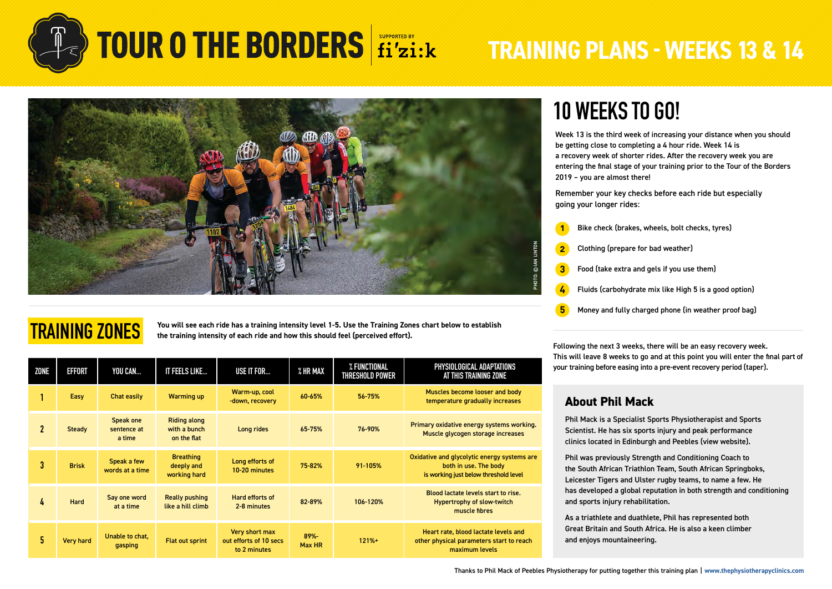



## **TRAINING ZONES**

**You will see each ride has a training intensity level 1-5. Use the Training Zones chart below to establish the training intensity of each ride and how this should feel (perceived effort).**

| ZONE         | <b>EFFORT</b>    | YOU CAN                            | IT FEELS LIKE                                      | USE IT FOR                                               | % HR MAX       | % FUNCTIONAL<br>THRESHOLD POWER | PHYSIOLOGICAL ADAPTATIONS<br>AT THIS TRAINING ZONE                                                            |  |
|--------------|------------------|------------------------------------|----------------------------------------------------|----------------------------------------------------------|----------------|---------------------------------|---------------------------------------------------------------------------------------------------------------|--|
|              | Easy             | Chat easily                        | <b>Warming up</b>                                  | Warm-up, cool<br>-down, recovery                         | 60-65%         | 56-75%                          | Muscles become looser and body<br>temperature gradually increases                                             |  |
| $\mathbf{2}$ | <b>Steady</b>    | Speak one<br>sentence at<br>a time | <b>Riding along</b><br>with a bunch<br>on the flat | Long rides                                               | 65-75%         | 76-90%                          | Primary oxidative energy systems working.<br>Muscle glycogen storage increases                                |  |
| 3            | <b>Brisk</b>     | Speak a few<br>words at a time     | <b>Breathing</b><br>deeply and<br>working hard     | Long efforts of<br>10-20 minutes                         | 75-82%         | 91-105%                         | Oxidative and glycolytic energy systems are<br>both in use. The body<br>is working just below threshold level |  |
| 4            | Hard             | Say one word<br>at a time          | <b>Really pushing</b><br>like a hill climb         | Hard efforts of<br>2-8 minutes                           | 82-89%         | 106-120%                        | Blood lactate levels start to rise.<br><b>Hypertrophy of slow-twitch</b><br>muscle fibres                     |  |
| 5.           | <b>Very hard</b> | Unable to chat,<br>gasping         | <b>Flat out sprint</b>                             | Very short max<br>out efforts of 10 secs<br>to 2 minutes | 89%-<br>Max HR | $121% +$                        | Heart rate, blood lactate levels and<br>other physical parameters start to reach<br>maximum levels            |  |

## **10 WEEKS TO GO!**

Week 13 is the third week of increasing your distance when you should be getting close to completing a 4 hour ride. Week 14 is a recovery week of shorter rides. After the recovery week you are entering the final stage of your training prior to the Tour of the Borders 2019 – you are almost there!

Remember your key checks before each ride but especially going your longer rides:

- **1** Bike check (brakes, wheels, bolt checks, tyres)
- **2** Clothing (prepare for bad weather)
- **3** Food (take extra and gels if you use them)
- **4** Fluids (carbohydrate mix like High 5 is a good option)
- **5** Money and fully charged phone (in weather proof bag)

Following the next 3 weeks, there will be an easy recovery week. This will leave 8 weeks to go and at this point you will enter the final part of your training before easing into a pre-event recovery period (taper).

### **About Phil Mack**

Phil Mack is a Specialist Sports Physiotherapist and Sports Scientist. He has six sports injury and peak performance clinics located in Edinburgh and Peebles [\(view website\)](https://thephysiotherapyclinics.com/).

Phil was previously Strength and Conditioning Coach to the South African Triathlon Team, South African Springboks, Leicester Tigers and Ulster rugby teams, to name a few. He has developed a global reputation in both strength and conditioning and sports injury rehabilitation.

As a triathlete and duathlete, Phil has represented both Great Britain and South Africa. He is also a keen climber and enjoys mountaineering.